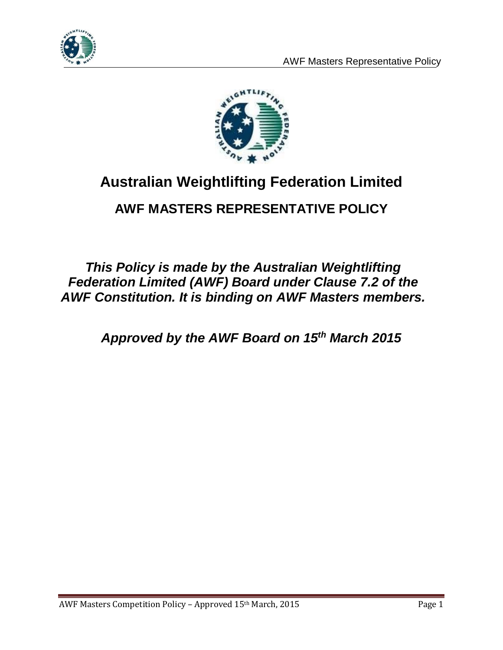



# **Australian Weightlifting Federation Limited**

## **AWF MASTERS REPRESENTATIVE POLICY**

*This Policy is made by the Australian Weightlifting Federation Limited (AWF) Board under Clause 7.2 of the AWF Constitution. It is binding on AWF Masters members.*

*Approved by the AWF Board on 15th March 2015*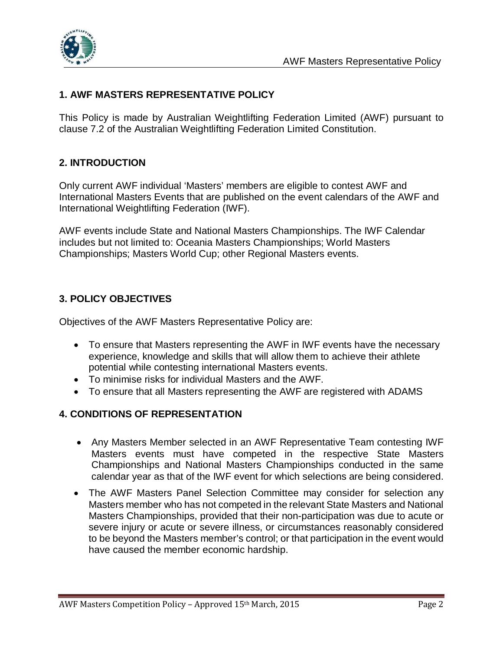

#### **1. AWF MASTERS REPRESENTATIVE POLICY**

This Policy is made by Australian Weightlifting Federation Limited (AWF) pursuant to clause 7.2 of the Australian Weightlifting Federation Limited Constitution.

#### **2. INTRODUCTION**

Only current AWF individual 'Masters' members are eligible to contest AWF and International Masters Events that are published on the event calendars of the AWF and International Weightlifting Federation (IWF).

AWF events include State and National Masters Championships. The IWF Calendar includes but not limited to: Oceania Masters Championships; World Masters Championships; Masters World Cup; other Regional Masters events.

#### **3. POLICY OBJECTIVES**

Objectives of the AWF Masters Representative Policy are:

- To ensure that Masters representing the AWF in IWF events have the necessary experience, knowledge and skills that will allow them to achieve their athlete potential while contesting international Masters events.
- To minimise risks for individual Masters and the AWF.
- To ensure that all Masters representing the AWF are registered with ADAMS

#### **4. CONDITIONS OF REPRESENTATION**

- Any Masters Member selected in an AWF Representative Team contesting IWF Masters events must have competed in the respective State Masters Championships and National Masters Championships conducted in the same calendar year as that of the IWF event for which selections are being considered.
- The AWF Masters Panel Selection Committee may consider for selection any Masters member who has not competed in the relevant State Masters and National Masters Championships, provided that their non-participation was due to acute or severe injury or acute or severe illness, or circumstances reasonably considered to be beyond the Masters member's control; or that participation in the event would have caused the member economic hardship.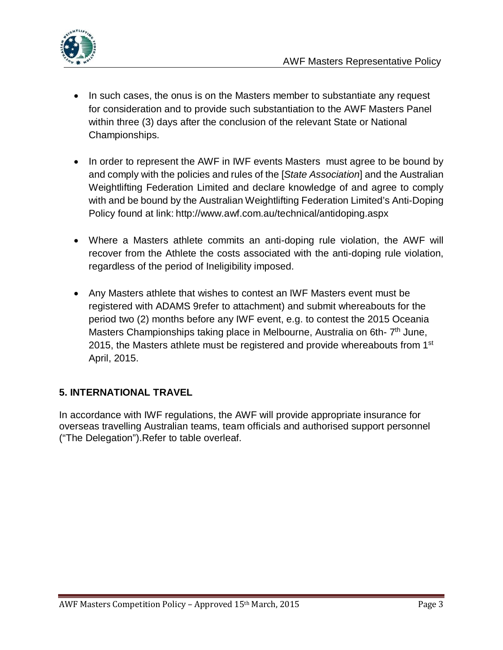

- In such cases, the onus is on the Masters member to substantiate any request for consideration and to provide such substantiation to the AWF Masters Panel within three (3) days after the conclusion of the relevant State or National Championships.
- In order to represent the AWF in IWF events Masters must agree to be bound by and comply with the policies and rules of the [*State Association*] and the Australian Weightlifting Federation Limited and declare knowledge of and agree to comply with and be bound by the Australian Weightlifting Federation Limited's Anti-Doping Policy found at link: http://www.awf.com.au/technical/antidoping.aspx
- Where a Masters athlete commits an anti-doping rule violation, the AWF will recover from the Athlete the costs associated with the anti-doping rule violation, regardless of the period of Ineligibility imposed.
- Any Masters athlete that wishes to contest an IWF Masters event must be registered with ADAMS 9refer to attachment) and submit whereabouts for the period two (2) months before any IWF event, e.g. to contest the 2015 Oceania Masters Championships taking place in Melbourne, Australia on 6th-7<sup>th</sup> June, 2015, the Masters athlete must be registered and provide whereabouts from 1<sup>st</sup> April, 2015.

#### **5. INTERNATIONAL TRAVEL**

In accordance with IWF regulations, the AWF will provide appropriate insurance for overseas travelling Australian teams, team officials and authorised support personnel ("The Delegation").Refer to table overleaf.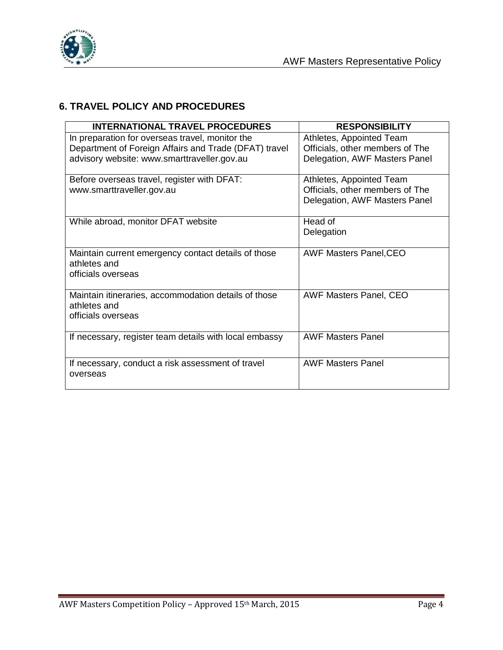

#### **6. TRAVEL POLICY AND PROCEDURES**

| <b>INTERNATIONAL TRAVEL PROCEDURES</b>                                                                                                                  | <b>RESPONSIBILITY</b>                                                                        |
|---------------------------------------------------------------------------------------------------------------------------------------------------------|----------------------------------------------------------------------------------------------|
| In preparation for overseas travel, monitor the<br>Department of Foreign Affairs and Trade (DFAT) travel<br>advisory website: www.smarttraveller.gov.au | Athletes, Appointed Team<br>Officials, other members of The<br>Delegation, AWF Masters Panel |
| Before overseas travel, register with DFAT:<br>www.smarttraveller.gov.au                                                                                | Athletes, Appointed Team<br>Officials, other members of The<br>Delegation, AWF Masters Panel |
| While abroad, monitor DFAT website                                                                                                                      | Head of<br>Delegation                                                                        |
| Maintain current emergency contact details of those<br>athletes and<br>officials overseas                                                               | <b>AWF Masters Panel, CEO</b>                                                                |
| Maintain itineraries, accommodation details of those<br>athletes and<br>officials overseas                                                              | <b>AWF Masters Panel, CEO</b>                                                                |
| If necessary, register team details with local embassy                                                                                                  | <b>AWF Masters Panel</b>                                                                     |
| If necessary, conduct a risk assessment of travel<br>overseas                                                                                           | <b>AWF Masters Panel</b>                                                                     |